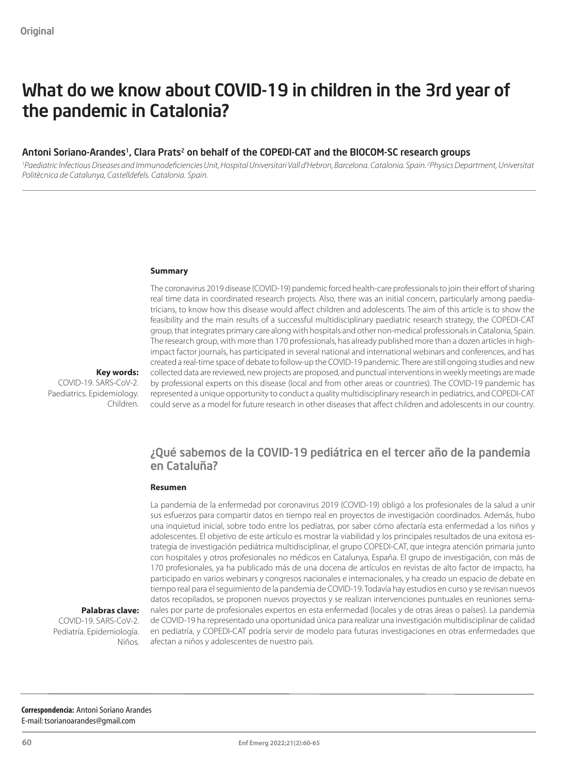# What do we know about COVID-19 in children in the 3rd year of the pandemic in Catalonia?

### Antoni Soriano-Arandes<sup>1</sup>, Clara Prats<sup>2</sup> on behalf of the COPEDI-CAT and the BIOCOM-SC research groups

*1 Paediatric Infectious Diseases and Immunodeficiencies Unit, Hospital Universitari Vall d'Hebron, Barcelona. Catalonia. Spain. 2 Physics Department, Universitat Politècnica de Catalunya, Castelldefels. Catalonia. Spain.*

#### **Summary**

The coronavirus 2019 disease (COVID-19) pandemic forced health-care professionals to join their effort of sharing real time data in coordinated research projects. Also, there was an initial concern, particularly among paediatricians, to know how this disease would affect children and adolescents. The aim of this article is to show the feasibility and the main results of a successful multidisciplinary paediatric research strategy, the COPEDI-CAT group, that integrates primary care along with hospitals and other non-medical professionals in Catalonia, Spain. The research group, with more than 170 professionals, has already published more than a dozen articles in highimpact factor journals, has participated in several national and international webinars and conferences, and has created a real-time space of debate to follow-up the COVID-19 pandemic. There are still ongoing studies and new collected data are reviewed, new projects are proposed, and punctual interventions in weekly meetings are made by professional experts on this disease (local and from other areas or countries). The COVID-19 pandemic has represented a unique opportunity to conduct a quality multidisciplinary research in pediatrics, and COPEDI-CAT could serve as a model for future research in other diseases that affect children and adolescents in our country.

#### **Key words:**  COVID-19. SARS-CoV-2. Paediatrics. Epidemiology.

Children.

### ¿Qué sabemos de la COVID-19 pediátrica en el tercer año de la pandemia en Cataluña?

#### **Resumen**

La pandemia de la enfermedad por coronavirus 2019 (COVID-19) obligó a los profesionales de la salud a unir sus esfuerzos para compartir datos en tiempo real en proyectos de investigación coordinados. Además, hubo una inquietud inicial, sobre todo entre los pediatras, por saber cómo afectaría esta enfermedad a los niños y adolescentes. El objetivo de este artículo es mostrar la viabilidad y los principales resultados de una exitosa estrategia de investigación pediátrica multidisciplinar, el grupo COPEDI-CAT, que integra atención primaria junto con hospitales y otros profesionales no médicos en Catalunya, España. El grupo de investigación, con más de 170 profesionales, ya ha publicado más de una docena de artículos en revistas de alto factor de impacto, ha participado en varios webinars y congresos nacionales e internacionales, y ha creado un espacio de debate en tiempo real para el seguimiento de la pandemia de COVID-19. Todavía hay estudios en curso y se revisan nuevos datos recopilados, se proponen nuevos proyectos y se realizan intervenciones puntuales en reuniones semanales por parte de profesionales expertos en esta enfermedad (locales y de otras áreas o países). La pandemia de COVID-19 ha representado una oportunidad única para realizar una investigación multidisciplinar de calidad en pediatría, y COPEDI-CAT podría servir de modelo para futuras investigaciones en otras enfermedades que afectan a niños y adolescentes de nuestro país.

**Palabras clave:** 

COVID-19. SARS-CoV-2. Pediatría. Epidemiología. Niños.

**Correspondencia:** Antoni Soriano Arandes E-mail: [tsorianoarandes@gmail.com](mailto:tsorianoarandes%40gmail.com?subject=)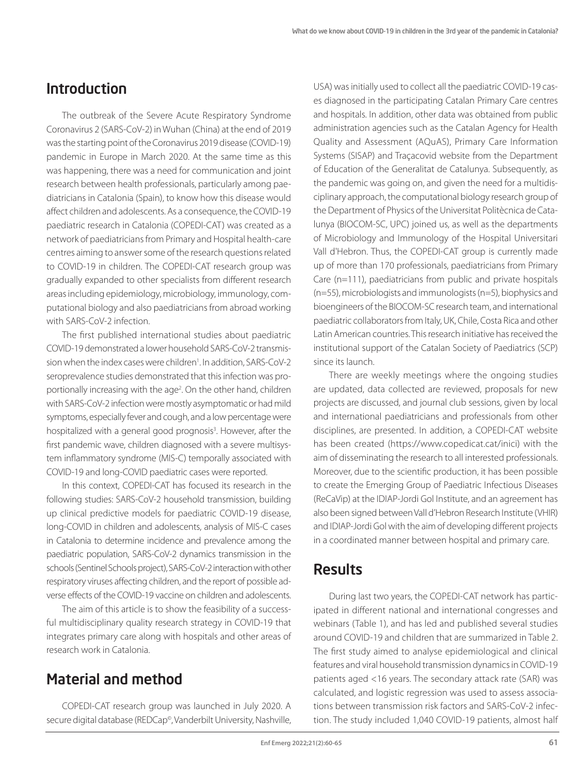## Introduction

The outbreak of the Severe Acute Respiratory Syndrome Coronavirus 2 (SARS-CoV-2) in Wuhan (China) at the end of 2019 was the starting point of the Coronavirus 2019 disease (COVID-19) pandemic in Europe in March 2020. At the same time as this was happening, there was a need for communication and joint research between health professionals, particularly among paediatricians in Catalonia (Spain), to know how this disease would affect children and adolescents. As a consequence, the COVID-19 paediatric research in Catalonia (COPEDI-CAT) was created as a network of paediatricians from Primary and Hospital health-care centres aiming to answer some of the research questions related to COVID-19 in children. The COPEDI-CAT research group was gradually expanded to other specialists from different research areas including epidemiology, microbiology, immunology, computational biology and also paediatricians from abroad working with SARS-CoV-2 infection.

The first published international studies about paediatric COVID-19 demonstrated a lower household SARS-CoV-2 transmission when the index cases were children<sup>1</sup>. In addition, SARS-CoV-2 seroprevalence studies demonstrated that this infection was proportionally increasing with the age<sup>2</sup>. On the other hand, children with SARS-CoV-2 infection were mostly asymptomatic or had mild symptoms, especially fever and cough, and a low percentage were hospitalized with a general good prognosis<sup>3</sup>. However, after the first pandemic wave, children diagnosed with a severe multisystem inflammatory syndrome (MIS-C) temporally associated with COVID-19 and long-COVID paediatric cases were reported.

In this context, COPEDI-CAT has focused its research in the following studies: SARS-CoV-2 household transmission, building up clinical predictive models for paediatric COVID-19 disease, long-COVID in children and adolescents, analysis of MIS-C cases in Catalonia to determine incidence and prevalence among the paediatric population, SARS-CoV-2 dynamics transmission in the schools (Sentinel Schools project), SARS-CoV-2 interaction with other respiratory viruses affecting children, and the report of possible adverse effects of the COVID-19 vaccine on children and adolescents.

The aim of this article is to show the feasibility of a successful multidisciplinary quality research strategy in COVID-19 that integrates primary care along with hospitals and other areas of research work in Catalonia.

### Material and method

COPEDI-CAT research group was launched in July 2020. A secure digital database (REDCap©, Vanderbilt University, Nashville, USA) was initially used to collect all the paediatric COVID-19 cases diagnosed in the participating Catalan Primary Care centres and hospitals. In addition, other data was obtained from public administration agencies such as the Catalan Agency for Health Quality and Assessment (AQuAS), Primary Care Information Systems (SISAP) and Traçacovid website from the Department of Education of the Generalitat de Catalunya. Subsequently, as the pandemic was going on, and given the need for a multidisciplinary approach, the computational biology research group of the Department of Physics of the Universitat Politècnica de Catalunya (BIOCOM-SC, UPC) joined us, as well as the departments of Microbiology and Immunology of the Hospital Universitari Vall d'Hebron. Thus, the COPEDI-CAT group is currently made up of more than 170 professionals, paediatricians from Primary Care (n=111), paediatricians from public and private hospitals (n=55), microbiologists and immunologists (n=5), biophysics and bioengineers of the BIOCOM-SC research team, and international paediatric collaborators from Italy, UK, Chile, Costa Rica and other Latin American countries. This research initiative has received the institutional support of the Catalan Society of Paediatrics (SCP) since its launch.

There are weekly meetings where the ongoing studies are updated, data collected are reviewed, proposals for new projects are discussed, and journal club sessions, given by local and international paediatricians and professionals from other disciplines, are presented. In addition, a COPEDI-CAT website has been created (https://www.copedicat.cat/inici) with the aim of disseminating the research to all interested professionals. Moreover, due to the scientific production, it has been possible to create the Emerging Group of Paediatric Infectious Diseases (ReCaVip) at the IDIAP-Jordi Gol Institute, and an agreement has also been signed between Vall d'Hebron Research Institute (VHIR) and IDIAP-Jordi Gol with the aim of developing different projects in a coordinated manner between hospital and primary care.

### Results

During last two years, the COPEDI-CAT network has participated in different national and international congresses and webinars (Table 1), and has led and published several studies around COVID-19 and children that are summarized in Table 2. The first study aimed to analyse epidemiological and clinical features and viral household transmission dynamics in COVID-19 patients aged <16 years. The secondary attack rate (SAR) was calculated, and logistic regression was used to assess associations between transmission risk factors and SARS-CoV-2 infection. The study included 1,040 COVID-19 patients, almost half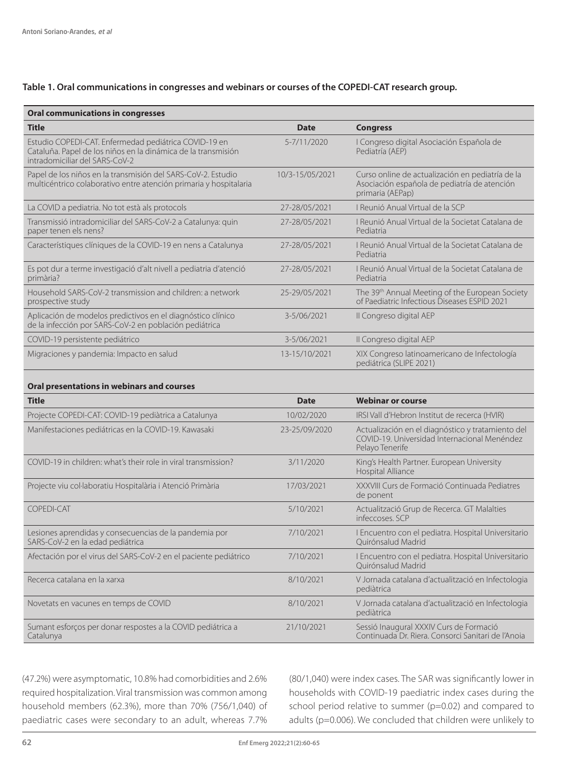### **Table 1. Oral communications in congresses and webinars or courses of the COPEDI-CAT research group.**

| <b>Oral communications in congresses</b>                                                                                                                 |                 |                                                                                                                      |
|----------------------------------------------------------------------------------------------------------------------------------------------------------|-----------------|----------------------------------------------------------------------------------------------------------------------|
| Title                                                                                                                                                    | Date            | <b>Congress</b>                                                                                                      |
| Estudio COPEDI-CAT. Enfermedad pediátrica COVID-19 en<br>Cataluña. Papel de los niños en la dinámica de la transmisión<br>intradomiciliar del SARS-CoV-2 | 5-7/11/2020     | I Congreso digital Asociación Española de<br>Pediatría (AEP)                                                         |
| Papel de los niños en la transmisión del SARS-CoV-2. Estudio<br>multicéntrico colaborativo entre atención primaria y hospitalaria                        | 10/3-15/05/2021 | Curso online de actualización en pediatría de la<br>Asociación española de pediatría de atención<br>primaria (AEPap) |
| La COVID a pediatria. No tot està als protocols                                                                                                          | 27-28/05/2021   | I Reunió Anual Virtual de la SCP                                                                                     |
| Transmissió intradomiciliar del SARS-CoV-2 a Catalunya: quin<br>paper tenen els nens?                                                                    | 27-28/05/2021   | I Reunió Anual Virtual de la Societat Catalana de<br>Pediatria                                                       |
| Característiques clíniques de la COVID-19 en nens a Catalunya                                                                                            | 27-28/05/2021   | I Reunió Anual Virtual de la Societat Catalana de<br>Pediatria                                                       |
| Es pot dur a terme investigació d'alt nivell a pediatria d'atenció<br>primària?                                                                          | 27-28/05/2021   | I Reunió Anual Virtual de la Societat Catalana de<br>Pediatria                                                       |
| Household SARS-CoV-2 transmission and children: a network<br>prospective study                                                                           | 25-29/05/2021   | The 39th Annual Meeting of the European Society<br>of Paediatric Infectious Diseases ESPID 2021                      |
| Aplicación de modelos predictivos en el diagnóstico clínico<br>de la infección por SARS-CoV-2 en población pediátrica                                    | 3-5/06/2021     | Il Congreso digital AEP                                                                                              |
| COVID-19 persistente pediátrico                                                                                                                          | 3-5/06/2021     | Il Congreso digital AEP                                                                                              |
| Migraciones y pandemia: Impacto en salud                                                                                                                 | 13-15/10/2021   | XIX Congreso latinoamericano de Infectología<br>pediátrica (SLIPE 2021)                                              |
| Oral presentations in webinars and courses                                                                                                               |                 |                                                                                                                      |
| <b>Title</b>                                                                                                                                             | <b>Date</b>     | <b>Webinar or course</b>                                                                                             |
| Projecte COPEDI-CAT: COVID-19 pediàtrica a Catalunya                                                                                                     | 10/02/2020      | IRSI Vall d'Hebron Institut de recerca (HVIR)                                                                        |
| Manifestaciones pediátricas en la COVID-19. Kawasaki                                                                                                     | 23-25/09/2020   | Actualización en el diagnóstico y tratamiento del<br>COVID-19. Universidad Internacional Menéndez<br>Pelayo Tenerife |
| COVID-19 in children: what's their role in viral transmission?                                                                                           | 3/11/2020       | King's Health Partner. European University<br>Hospital Alliance                                                      |
| Projecte viu col·laboratiu Hospitalària i Atenció Primària                                                                                               | 17/03/2021      | XXXVIII Curs de Formació Continuada Pediatres<br>de ponent                                                           |
| <b>COPEDI-CAT</b>                                                                                                                                        | 5/10/2021       | Actualització Grup de Recerca. GT Malalties<br>infeccoses. SCP                                                       |
| Lesiones aprendidas y consecuencias de la pandemia por<br>SARS-CoV-2 en la edad pediátrica                                                               | 7/10/2021       | I Encuentro con el pediatra. Hospital Universitario<br>Quirónsalud Madrid                                            |
| Afectación por el virus del SARS-CoV-2 en el paciente pediátrico                                                                                         | 7/10/2021       | I Encuentro con el pediatra. Hospital Universitario<br>Quirónsalud Madrid                                            |
| Recerca catalana en la xarxa                                                                                                                             | 8/10/2021       | V Jornada catalana d'actualització en Infectologia<br>pediàtrica                                                     |
| Novetats en vacunes en temps de COVID                                                                                                                    | 8/10/2021       | V Jornada catalana d'actualització en Infectologia<br>pediàtrica                                                     |
| Sumant esforços per donar respostes a la COVID pediátrica a<br>Catalunya                                                                                 | 21/10/2021      | Sessió Inaugural XXXIV Curs de Formació<br>Continuada Dr. Riera. Consorci Sanitari de l'Anoia                        |

(47.2%) were asymptomatic, 10.8% had comorbidities and 2.6% required hospitalization. Viral transmission was common among household members (62.3%), more than 70% (756/1,040) of paediatric cases were secondary to an adult, whereas 7.7% (80/1,040) were index cases. The SAR was significantly lower in households with COVID-19 paediatric index cases during the school period relative to summer (p=0.02) and compared to adults (p=0.006). We concluded that children were unlikely to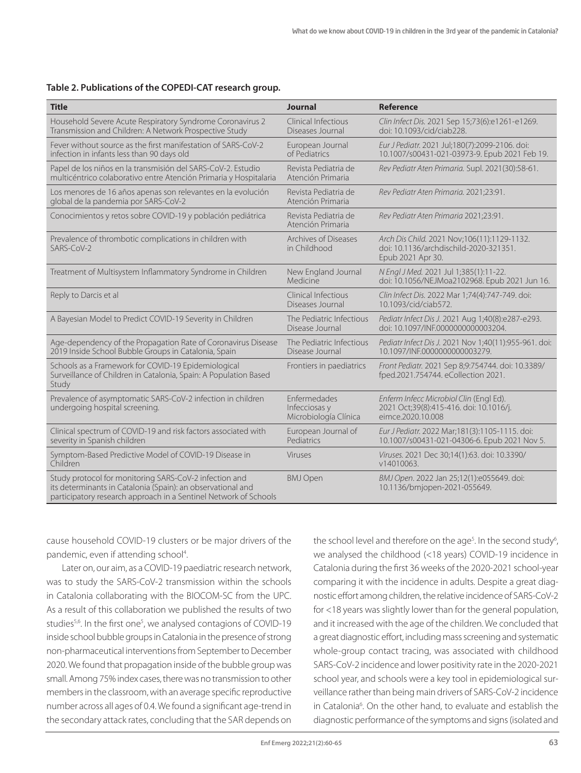#### **Table 2. Publications of the COPEDI-CAT research group.**

| <b>Title</b>                                                                                                                                                                              | Journal                                                | <b>Reference</b>                                                                                           |
|-------------------------------------------------------------------------------------------------------------------------------------------------------------------------------------------|--------------------------------------------------------|------------------------------------------------------------------------------------------------------------|
| Household Severe Acute Respiratory Syndrome Coronavirus 2<br>Transmission and Children: A Network Prospective Study                                                                       | Clinical Infectious<br>Diseases Journal                | Clin Infect Dis. 2021 Sep 15;73(6):e1261-e1269.<br>doi: 10.1093/cid/ciab228.                               |
| Fever without source as the first manifestation of SARS-CoV-2<br>infection in infants less than 90 days old                                                                               | European Journal<br>of Pediatrics                      | Eur J Pediatr. 2021 Jul;180(7):2099-2106. doi:<br>10.1007/s00431-021-03973-9. Epub 2021 Feb 19.            |
| Papel de los niños en la transmisión del SARS-CoV-2. Estudio<br>multicéntrico colaborativo entre Atención Primaria y Hospitalaria                                                         | Revista Pediatria de<br>Atención Primaria              | Rev Pediatr Aten Primaria. Supl. 2021(30):58-61.                                                           |
| Los menores de 16 años apenas son relevantes en la evolución<br>global de la pandemia por SARS-CoV-2                                                                                      | Revista Pediatria de<br>Atención Primaria              | Rev Pediatr Aten Primaria. 2021;23:91.                                                                     |
| Conocimientos y retos sobre COVID-19 y población pediátrica                                                                                                                               | Revista Pediatria de<br>Atención Primaria              | Rev Pediatr Aten Primaria 2021;23:91.                                                                      |
| Prevalence of thrombotic complications in children with<br>$SARS-CoV-2$                                                                                                                   | Archives of Diseases<br>in Childhood                   | Arch Dis Child. 2021 Nov;106(11):1129-1132.<br>doi: 10.1136/archdischild-2020-321351.<br>Epub 2021 Apr 30. |
| Treatment of Multisystem Inflammatory Syndrome in Children                                                                                                                                | New England Journal<br>Medicine                        | N Engl J Med. 2021 Jul 1;385(1):11-22.<br>doi: 10.1056/NEJMoa2102968. Epub 2021 Jun 16.                    |
| Reply to Darcis et al                                                                                                                                                                     | Clinical Infectious<br>Diseases Journal                | Clin Infect Dis. 2022 Mar 1;74(4):747-749. doi:<br>10.1093/cid/ciab572.                                    |
| A Bayesian Model to Predict COVID-19 Severity in Children                                                                                                                                 | The Pediatric Infectious<br>Disease Journal            | Pediatr Infect Dis J. 2021 Aug 1;40(8):e287-e293.<br>doi: 10.1097/INF.0000000000003204.                    |
| Age-dependency of the Propagation Rate of Coronavirus Disease<br>2019 Inside School Bubble Groups in Catalonia, Spain                                                                     | The Pediatric Infectious<br>Disease Journal            | Pediatr Infect Dis J. 2021 Nov 1:40(11):955-961. doi:<br>10.1097/INF.0000000000003279.                     |
| Schools as a Framework for COVID-19 Epidemiological<br>Surveillance of Children in Catalonia, Spain: A Population Based<br>Study                                                          | Frontiers in paediatrics                               | Front Pediatr. 2021 Sep 8;9:754744. doi: 10.3389/<br>fped.2021.754744. eCollection 2021.                   |
| Prevalence of asymptomatic SARS-CoV-2 infection in children<br>undergoing hospital screening.                                                                                             | Enfermedades<br>Infecciosas y<br>Microbiología Clínica | Enferm Infecc Microbiol Clin (Engl Ed).<br>2021 Oct;39(8):415-416. doi: 10.1016/j.<br>eimce.2020.10.008    |
| Clinical spectrum of COVID-19 and risk factors associated with<br>severity in Spanish children                                                                                            | European Journal of<br>Pediatrics                      | Eur J Pediatr. 2022 Mar;181(3):1105-1115. doi:<br>10.1007/s00431-021-04306-6. Epub 2021 Nov 5.             |
| Symptom-Based Predictive Model of COVID-19 Disease in<br>Children                                                                                                                         | Viruses                                                | Viruses. 2021 Dec 30;14(1):63. doi: 10.3390/<br>v14010063.                                                 |
| Study protocol for monitoring SARS-CoV-2 infection and<br>its determinants in Catalonia (Spain): an observational and<br>participatory research approach in a Sentinel Network of Schools | <b>BMJ Open</b>                                        | BMJ Open. 2022 Jan 25;12(1):e055649. doi:<br>10.1136/bmjopen-2021-055649.                                  |

cause household COVID-19 clusters or be major drivers of the pandemic, even if attending school<sup>4</sup>. .

Later on, our aim, as a COVID-19 paediatric research network, was to study the SARS-CoV-2 transmission within the schools in Catalonia collaborating with the BIOCOM-SC from the UPC. As a result of this collaboration we published the results of two studies<sup>5,6</sup>. In the first one<sup>5</sup>, we analysed contagions of COVID-19 inside school bubble groups in Catalonia in the presence of strong non-pharmaceutical interventions from September to December 2020. We found that propagation inside of the bubble group was small. Among 75% index cases, there was no transmission to other members in the classroom, with an average specific reproductive number across all ages of 0.4. We found a significant age-trend in the secondary attack rates, concluding that the SAR depends on the school level and therefore on the age<sup>5</sup>. In the second study<sup>6</sup>, we analysed the childhood (<18 years) COVID-19 incidence in Catalonia during the first 36 weeks of the 2020-2021 school-year comparing it with the incidence in adults. Despite a great diagnostic effort among children, the relative incidence of SARS-CoV-2 for <18 years was slightly lower than for the general population, and it increased with the age of the children. We concluded that a great diagnostic effort, including mass screening and systematic whole-group contact tracing, was associated with childhood SARS-CoV-2 incidence and lower positivity rate in the 2020-2021 school year, and schools were a key tool in epidemiological surveillance rather than being main drivers of SARS-CoV-2 incidence in Catalonia<sup>6</sup>. On the other hand, to evaluate and establish the diagnostic performance of the symptoms and signs (isolated and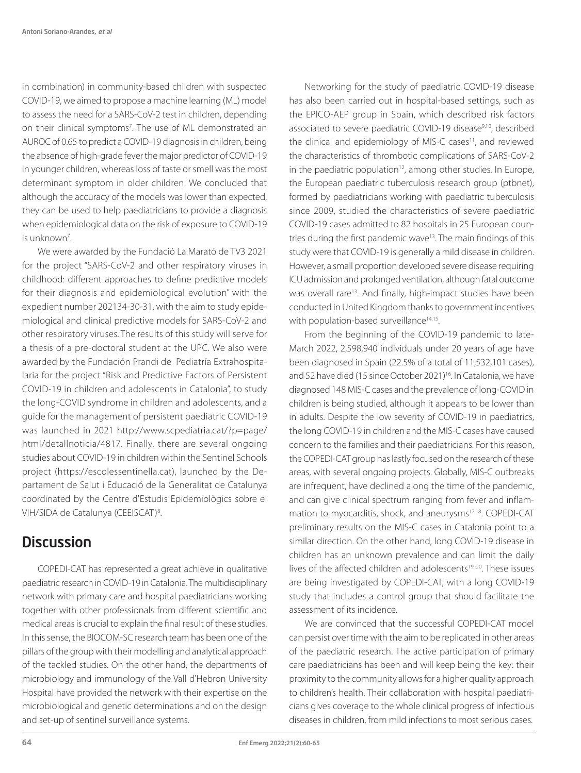in combination) in community-based children with suspected COVID-19, we aimed to propose a machine learning (ML) model to assess the need for a SARS-CoV-2 test in children, depending on their clinical symptoms<sup>7</sup>. The use of ML demonstrated an AUROC of 0.65 to predict a COVID-19 diagnosis in children, being the absence of high-grade fever the major predictor of COVID-19 in younger children, whereas loss of taste or smell was the most determinant symptom in older children. We concluded that although the accuracy of the models was lower than expected, they can be used to help paediatricians to provide a diagnosis when epidemiological data on the risk of exposure to COVID-19 is unknown7 .

We were awarded by the Fundació La Marató de TV3 2021 for the project "SARS-CoV-2 and other respiratory viruses in childhood: different approaches to define predictive models for their diagnosis and epidemiological evolution" with the expedient number 202134-30-31, with the aim to study epidemiological and clinical predictive models for SARS-CoV-2 and other respiratory viruses. The results of this study will serve for a thesis of a pre-doctoral student at the UPC. We also were awarded by the Fundación Prandi de Pediatría Extrahospitalaria for the project "Risk and Predictive Factors of Persistent COVID-19 in children and adolescents in Catalonia", to study the long-COVID syndrome in children and adolescents, and a guide for the management of persistent paediatric COVID-19 was launched in 2021 http://www.scpediatria.cat/?p=page/ html/detallnoticia/4817. Finally, there are several ongoing studies about COVID-19 in children within the Sentinel Schools project (https://escolessentinella.cat), launched by the Departament de Salut i Educació de la Generalitat de Catalunya coordinated by the Centre d'Estudis Epidemiològics sobre el VIH/SIDA de Catalunya (CEEISCAT)<sup>8</sup>.

### **Discussion**

COPEDI-CAT has represented a great achieve in qualitative paediatric research in COVID-19 in Catalonia. The multidisciplinary network with primary care and hospital paediatricians working together with other professionals from different scientific and medical areas is crucial to explain the final result of these studies. In this sense, the BIOCOM-SC research team has been one of the pillars of the group with their modelling and analytical approach of the tackled studies. On the other hand, the departments of microbiology and immunology of the Vall d'Hebron University Hospital have provided the network with their expertise on the microbiological and genetic determinations and on the design and set-up of sentinel surveillance systems.

Networking for the study of paediatric COVID-19 disease has also been carried out in hospital-based settings, such as the EPICO-AEP group in Spain, which described risk factors associated to severe paediatric COVID-19 disease<sup>9,10</sup>, described the clinical and epidemiology of MIS-C cases<sup>11</sup>, and reviewed the characteristics of thrombotic complications of SARS-CoV-2 in the paediatric population<sup>12</sup>, among other studies. In Europe, the European paediatric tuberculosis research group (ptbnet), formed by paediatricians working with paediatric tuberculosis since 2009, studied the characteristics of severe paediatric COVID-19 cases admitted to 82 hospitals in 25 European countries during the first pandemic wave<sup>13</sup>. The main findings of this study were that COVID-19 is generally a mild disease in children. However, a small proportion developed severe disease requiring ICU admission and prolonged ventilation, although fatal outcome was overall rare<sup>13</sup>. And finally, high-impact studies have been conducted in United Kingdom thanks to government incentives with population-based surveillance<sup>14,15</sup>.

From the beginning of the COVID-19 pandemic to late-March 2022, 2,598,940 individuals under 20 years of age have been diagnosed in Spain (22.5% of a total of 11,532,101 cases), and 52 have died (15 since October 2021)<sup>16</sup>. In Catalonia, we have diagnosed 148 MIS-C cases and the prevalence of long-COVID in children is being studied, although it appears to be lower than in adults. Despite the low severity of COVID-19 in paediatrics, the long COVID-19 in children and the MIS-C cases have caused concern to the families and their paediatricians. For this reason, the COPEDI-CAT group has lastly focused on the research of these areas, with several ongoing projects. Globally, MIS-C outbreaks are infrequent, have declined along the time of the pandemic, and can give clinical spectrum ranging from fever and inflammation to myocarditis, shock, and aneurysms17,18. COPEDI-CAT preliminary results on the MIS-C cases in Catalonia point to a similar direction. On the other hand, long COVID-19 disease in children has an unknown prevalence and can limit the daily lives of the affected children and adolescents<sup>19, 20</sup>. These issues are being investigated by COPEDI-CAT, with a long COVID-19 study that includes a control group that should facilitate the assessment of its incidence.

We are convinced that the successful COPEDI-CAT model can persist over time with the aim to be replicated in other areas of the paediatric research. The active participation of primary care paediatricians has been and will keep being the key: their proximity to the community allows for a higher quality approach to children's health. Their collaboration with hospital paediatricians gives coverage to the whole clinical progress of infectious diseases in children, from mild infections to most serious cases.